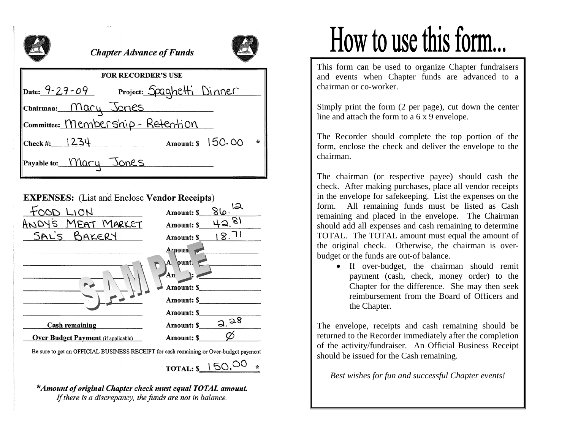

### **Chapter Advance of Funds**



| <b>FOR RECORDER'S USE</b>               |                     |  |
|-----------------------------------------|---------------------|--|
| Date: 9-29-09 Project: Spaghetti Dinner |                     |  |
| Chairman: Mary Jones                    |                     |  |
| Committee: Membership-Retention         |                     |  |
| $ {\rm Check}\, \#: 1234$               | Amount: \$ 150.00 * |  |
| Payable to: Mary Jones                  |                     |  |

#### **EXPENSES:** (List and Enclose Vendor Receipts)

| LION                                                                                                                                                                                                                           | 86.12<br><b>Amount: \$</b> |
|--------------------------------------------------------------------------------------------------------------------------------------------------------------------------------------------------------------------------------|----------------------------|
| ANDY'S MEAT MARKET                                                                                                                                                                                                             | 42.81<br><b>Amount: \$</b> |
| SAL'S BAKERY                                                                                                                                                                                                                   | 18.71<br><b>Amount: \$</b> |
|                                                                                                                                                                                                                                | A noun                     |
|                                                                                                                                                                                                                                | $\mathbf{A}$ punt.         |
|                                                                                                                                                                                                                                | $An$ :                     |
|                                                                                                                                                                                                                                | <b>Amount: \$</b>          |
|                                                                                                                                                                                                                                | Amount: \$                 |
|                                                                                                                                                                                                                                | Amount: S                  |
| <b>Cash remaining</b>                                                                                                                                                                                                          | a.98<br>Amount: \$         |
| <b>Over Budget Payment</b> (if applicable)                                                                                                                                                                                     | <b>Amount: \$</b>          |
| $D_2$ and $L_1$ and $D_2$ $D_3$ $D_4$ $D_5$ $D_6$ $D_7$ $D_7$ $D_8$ $D_9$ $D_9$ $D_9$ $D_9$ $D_9$ $D_9$ $D_9$ $D_9$ $D_9$ $D_9$ $D_9$ $D_9$ $D_9$ $D_9$ $D_9$ $D_9$ $D_9$ $D_9$ $D_9$ $D_9$ $D_9$ $D_9$ $D_9$ $D_9$ $D_9$ $D_$ |                            |

Be sure to get an OFFICIAL BUSINESS RECEIPT for cash remaining or Over-budget payment

TOTAL:  $$150.00*$ 

\*Amount of original Chapter check must equal TOTAL amount. If there is a discrepancy, the funds are not in balance.

# How to use this form...

This form can be used to organize Chapter fundraisers and events when Chapter funds are advanced to a chairman or co-worker.

Simply print the form (2 per page), cut down the center line and attach the form to a 6 x 9 envelope.

The Recorder should complete the top portion of the form, enclose the check and deliver the envelope to the chairman.

The chairman (or respective payee) should cash the check. After making purchases, place all vendor receipts in the envelope for safekeeping. List the expenses on the form. All remaining funds must be listed as Cash remaining and placed in the envelope. The Chairman should add all expenses and cash remaining to determine TOTAL. The TOTAL amount must equal the amount of the original check. Otherwise, the chairman is overbudget or the funds are out-of balance.

• If over-budget, the chairman should remit payment (cash, check, money order) to the Chapter for the difference. She may then seek reimbursement from the Board of Officers and the Chapter.

The envelope, receipts and cash remaining should be returned to the Recorder immediately after the completion of the activity/fundraiser. An Official Business Receipt should be issued for the Cash remaining.

*Best wishes for fun and successful Chapter events!*